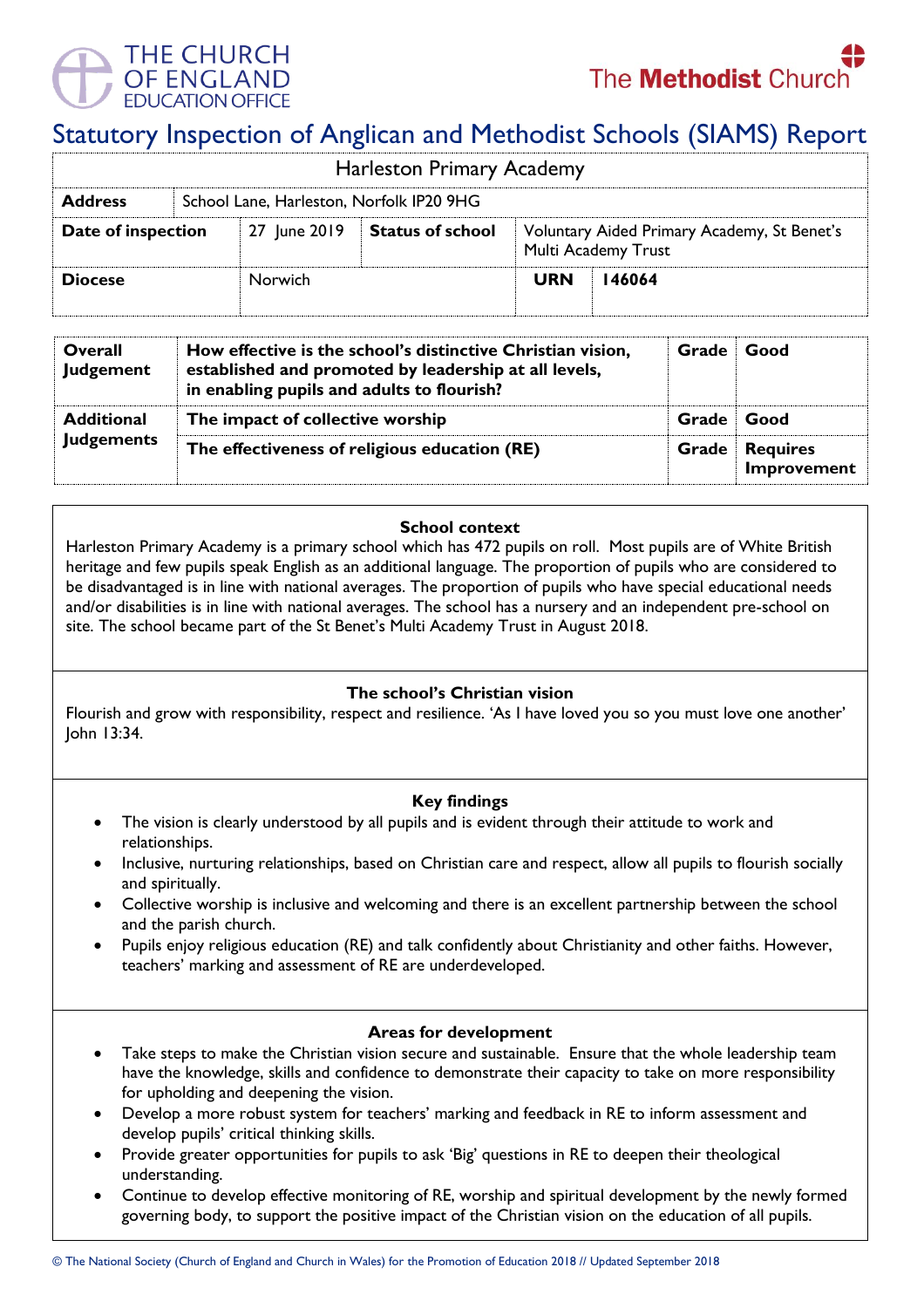



# Statutory Inspection of Anglican and Methodist Schools (SIAMS) Report

| <b>Harleston Primary Academy</b> |                                          |              |                         |                                                                    |        |  |  |  |
|----------------------------------|------------------------------------------|--------------|-------------------------|--------------------------------------------------------------------|--------|--|--|--|
| <b>Address</b>                   | School Lane, Harleston, Norfolk IP20 9HG |              |                         |                                                                    |        |  |  |  |
| Date of inspection               |                                          | 27 June 2019 | <b>Status of school</b> | Voluntary Aided Primary Academy, St Benet's<br>Multi Academy Trust |        |  |  |  |
| <b>Diocese</b>                   |                                          | Norwich      |                         | <b>URN</b>                                                         | 146064 |  |  |  |

| Overall<br><b>Judgement</b>            | How effective is the school's distinctive Christian vision,<br>established and promoted by leadership at all levels,<br>in enabling pupils and adults to flourish? | Grade      | Good                           |
|----------------------------------------|--------------------------------------------------------------------------------------------------------------------------------------------------------------------|------------|--------------------------------|
| <b>Additional</b><br><b>Judgements</b> | The impact of collective worship                                                                                                                                   | Grade Good |                                |
|                                        | The effectiveness of religious education (RE)                                                                                                                      | Grade      | <b>Requires</b><br>Improvement |

## **School context**

Harleston Primary Academy is a primary school which has 472 pupils on roll. Most pupils are of White British heritage and few pupils speak English as an additional language. The proportion of pupils who are considered to be disadvantaged is in line with national averages. The proportion of pupils who have special educational needs and/or disabilities is in line with national averages. The school has a nursery and an independent pre-school on site. The school became part of the St Benet's Multi Academy Trust in August 2018.

## **The school's Christian vision**

Flourish and grow with responsibility, respect and resilience. 'As I have loved you so you must love one another' John 13:34.

## **Key findings**

- The vision is clearly understood by all pupils and is evident through their attitude to work and relationships.
- Inclusive, nurturing relationships, based on Christian care and respect, allow all pupils to flourish socially and spiritually.
- Collective worship is inclusive and welcoming and there is an excellent partnership between the school and the parish church.
- Pupils enjoy religious education (RE) and talk confidently about Christianity and other faiths. However, teachers' marking and assessment of RE are underdeveloped.

### **Areas for development**

- Take steps to make the Christian vision secure and sustainable. Ensure that the whole leadership team have the knowledge, skills and confidence to demonstrate their capacity to take on more responsibility for upholding and deepening the vision.
- Develop a more robust system for teachers' marking and feedback in RE to inform assessment and develop pupils' critical thinking skills.
- Provide greater opportunities for pupils to ask 'Big' questions in RE to deepen their theological understanding.
- Continue to develop effective monitoring of RE, worship and spiritual development by the newly formed governing body, to support the positive impact of the Christian vision on the education of all pupils.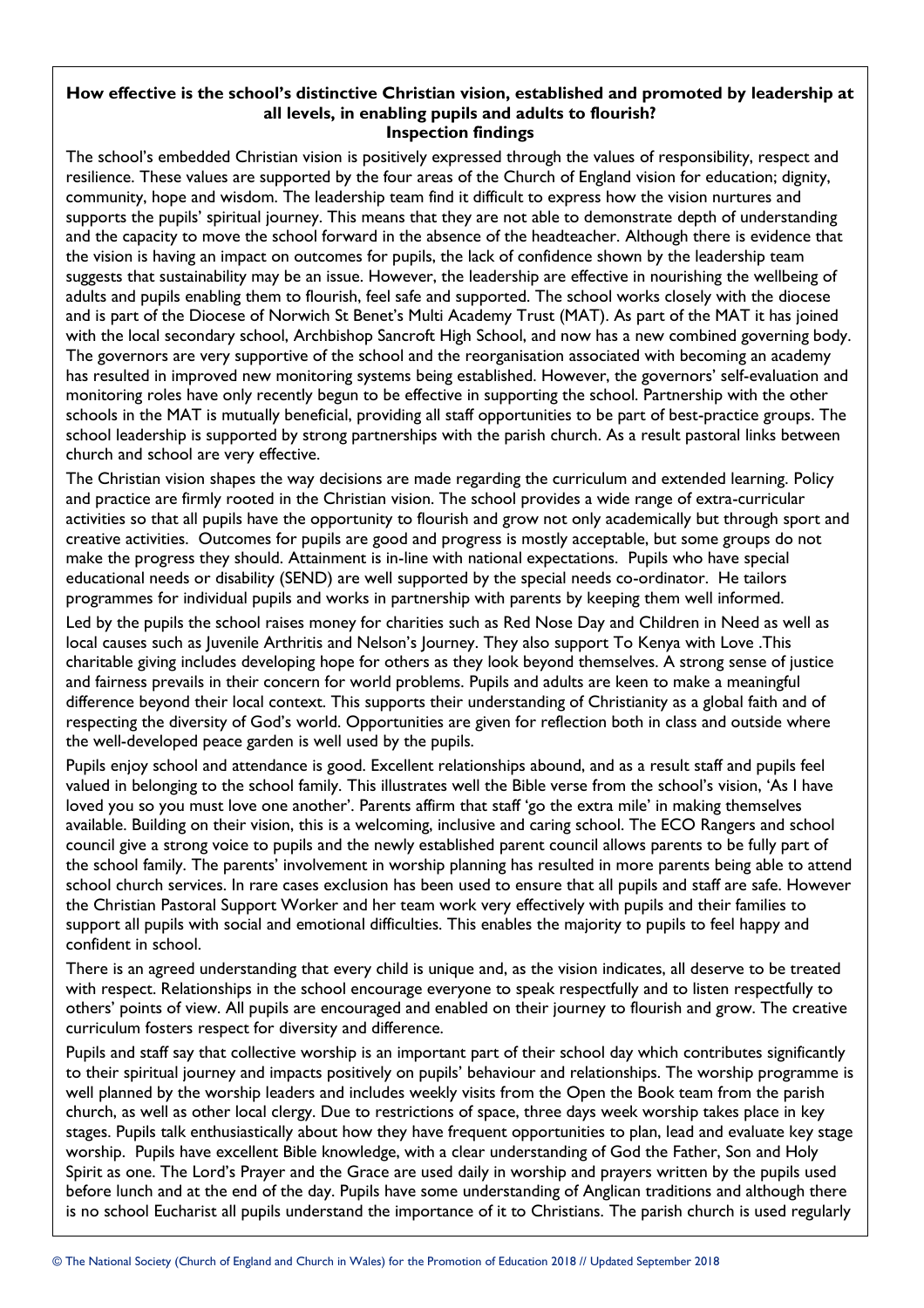### **How effective is the school's distinctive Christian vision, established and promoted by leadership at all levels, in enabling pupils and adults to flourish? Inspection findings**

The school's embedded Christian vision is positively expressed through the values of responsibility, respect and resilience. These values are supported by the four areas of the Church of England vision for education; dignity, community, hope and wisdom. The leadership team find it difficult to express how the vision nurtures and supports the pupils' spiritual journey. This means that they are not able to demonstrate depth of understanding and the capacity to move the school forward in the absence of the headteacher. Although there is evidence that the vision is having an impact on outcomes for pupils, the lack of confidence shown by the leadership team suggests that sustainability may be an issue. However, the leadership are effective in nourishing the wellbeing of adults and pupils enabling them to flourish, feel safe and supported. The school works closely with the diocese and is part of the Diocese of Norwich St Benet's Multi Academy Trust (MAT). As part of the MAT it has joined with the local secondary school, Archbishop Sancroft High School, and now has a new combined governing body. The governors are very supportive of the school and the reorganisation associated with becoming an academy has resulted in improved new monitoring systems being established. However, the governors' self-evaluation and monitoring roles have only recently begun to be effective in supporting the school. Partnership with the other schools in the MAT is mutually beneficial, providing all staff opportunities to be part of best-practice groups. The school leadership is supported by strong partnerships with the parish church. As a result pastoral links between church and school are very effective.

The Christian vision shapes the way decisions are made regarding the curriculum and extended learning. Policy and practice are firmly rooted in the Christian vision. The school provides a wide range of extra-curricular activities so that all pupils have the opportunity to flourish and grow not only academically but through sport and creative activities. Outcomes for pupils are good and progress is mostly acceptable, but some groups do not make the progress they should. Attainment is in-line with national expectations. Pupils who have special educational needs or disability (SEND) are well supported by the special needs co-ordinator. He tailors programmes for individual pupils and works in partnership with parents by keeping them well informed.

Led by the pupils the school raises money for charities such as Red Nose Day and Children in Need as well as local causes such as Juvenile Arthritis and Nelson's Journey. They also support To Kenya with Love .This charitable giving includes developing hope for others as they look beyond themselves. A strong sense of justice and fairness prevails in their concern for world problems. Pupils and adults are keen to make a meaningful difference beyond their local context. This supports their understanding of Christianity as a global faith and of respecting the diversity of God's world. Opportunities are given for reflection both in class and outside where the well-developed peace garden is well used by the pupils.

Pupils enjoy school and attendance is good. Excellent relationships abound, and as a result staff and pupils feel valued in belonging to the school family. This illustrates well the Bible verse from the school's vision, 'As I have loved you so you must love one another'. Parents affirm that staff 'go the extra mile' in making themselves available. Building on their vision, this is a welcoming, inclusive and caring school. The ECO Rangers and school council give a strong voice to pupils and the newly established parent council allows parents to be fully part of the school family. The parents' involvement in worship planning has resulted in more parents being able to attend school church services. In rare cases exclusion has been used to ensure that all pupils and staff are safe. However the Christian Pastoral Support Worker and her team work very effectively with pupils and their families to support all pupils with social and emotional difficulties. This enables the majority to pupils to feel happy and confident in school.

There is an agreed understanding that every child is unique and, as the vision indicates, all deserve to be treated with respect. Relationships in the school encourage everyone to speak respectfully and to listen respectfully to others' points of view. All pupils are encouraged and enabled on their journey to flourish and grow. The creative curriculum fosters respect for diversity and difference.

Pupils and staff say that collective worship is an important part of their school day which contributes significantly to their spiritual journey and impacts positively on pupils' behaviour and relationships. The worship programme is well planned by the worship leaders and includes weekly visits from the Open the Book team from the parish church, as well as other local clergy. Due to restrictions of space, three days week worship takes place in key stages. Pupils talk enthusiastically about how they have frequent opportunities to plan, lead and evaluate key stage worship. Pupils have excellent Bible knowledge, with a clear understanding of God the Father, Son and Holy Spirit as one. The Lord's Prayer and the Grace are used daily in worship and prayers written by the pupils used before lunch and at the end of the day. Pupils have some understanding of Anglican traditions and although there is no school Eucharist all pupils understand the importance of it to Christians. The parish church is used regularly